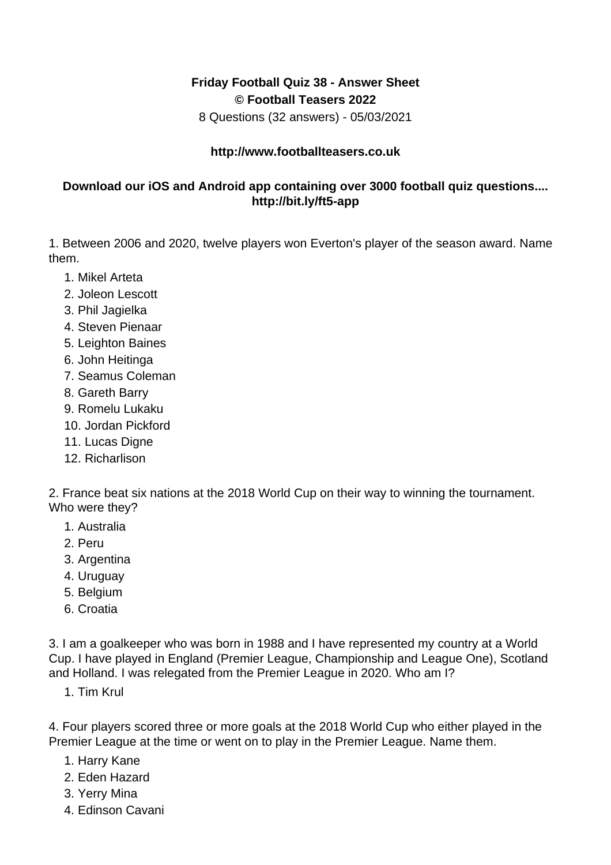## **Friday Football Quiz 38 - Answer Sheet © Football Teasers 2022**

8 Questions (32 answers) - 05/03/2021

## **http://www.footballteasers.co.uk**

## **Download our iOS and Android app containing over 3000 football quiz questions.... http://bit.ly/ft5-app**

1. Between 2006 and 2020, twelve players won Everton's player of the season award. Name them.

- 1. Mikel Arteta
- 2. Joleon Lescott
- 3. Phil Jagielka
- 4. Steven Pienaar
- 5. Leighton Baines
- 6. John Heitinga
- 7. Seamus Coleman
- 8. Gareth Barry
- 9. Romelu Lukaku
- 10. Jordan Pickford
- 11. Lucas Digne
- 12. Richarlison

2. France beat six nations at the 2018 World Cup on their way to winning the tournament. Who were they?

- 1. Australia
- 2. Peru
- 3. Argentina
- 4. Uruguay
- 5. Belgium
- 6. Croatia

3. I am a goalkeeper who was born in 1988 and I have represented my country at a World Cup. I have played in England (Premier League, Championship and League One), Scotland and Holland. I was relegated from the Premier League in 2020. Who am I?

1. Tim Krul

4. Four players scored three or more goals at the 2018 World Cup who either played in the Premier League at the time or went on to play in the Premier League. Name them.

- 1. Harry Kane
- 2. Eden Hazard
- 3. Yerry Mina
- 4. Edinson Cavani